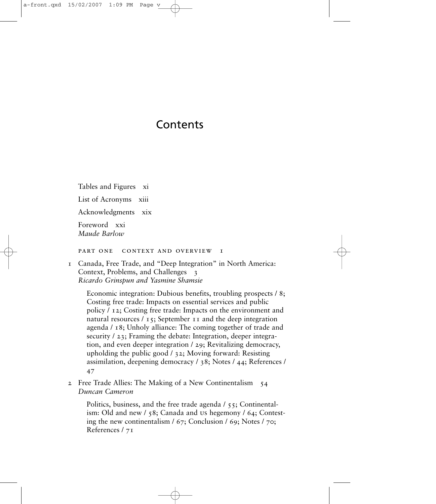## Contents

Tables and Figures xi

List of Acronyms xiii

Acknowledgments xix

Foreword xxi *Maude Barlow*

PART ONE CONTEXT AND OVERVIEW I

1 Canada, Free Trade, and "Deep Integration" in North America: Context, Problems, and Challenges 3 *Ricardo Grinspun and Yasmine Shamsie*

Economic integration: Dubious benefits, troubling prospects / 8; Costing free trade: Impacts on essential services and public policy / 12; Costing free trade: Impacts on the environment and natural resources / 15; September 11 and the deep integration agenda / 18; Unholy alliance: The coming together of trade and security / 23; Framing the debate: Integration, deeper integration, and even deeper integration / 29; Revitalizing democracy, upholding the public good / 32; Moving forward: Resisting assimilation, deepening democracy / 38; Notes / 44; References / 47

2 Free Trade Allies: The Making of a New Continentalism 54 *Duncan Cameron*

Politics, business, and the free trade agenda / 55; Continentalism: Old and new / 58; Canada and us hegemony / 64; Contesting the new continentalism / 67; Conclusion / 69; Notes / 70; References / 71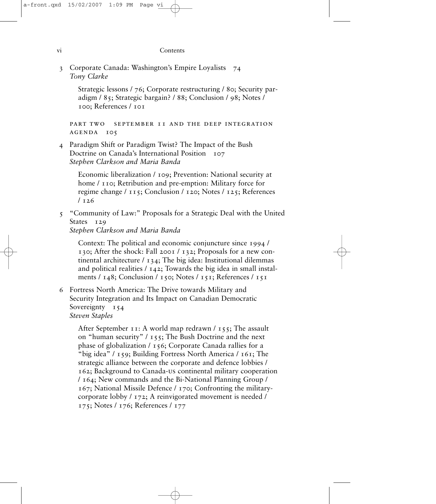## vi Contents

3 Corporate Canada: Washington's Empire Loyalists 74 *Tony Clarke*

Strategic lessons / 76; Corporate restructuring / 80; Security paradigm / 85; Strategic bargain? / 88; Conclusion / 98; Notes / 100; References / 101

part two september 11 and the deep integration agenda 105

4 Paradigm Shift or Paradigm Twist? The Impact of the Bush Doctrine on Canada's International Position 107 *Stephen Clarkson and Maria Banda*

Economic liberalization / 109; Prevention: National security at home / 110; Retribution and pre-emption: Military force for regime change / 115; Conclusion / 120; Notes / 125; References  $/126$ 

5 "Community of Law:" Proposals for a Strategic Deal with the United States 129

*Stephen Clarkson and Maria Banda*

Context: The political and economic conjuncture since 1994 / 130; After the shock: Fall 2001 / 132; Proposals for a new continental architecture / 134; The big idea: Institutional dilemmas and political realities  $/142$ ; Towards the big idea in small instalments / 148; Conclusion / 150; Notes / 151; References / 151

6 Fortress North America: The Drive towards Military and Security Integration and Its Impact on Canadian Democratic Sovereignty 154 *Steven Staples*

After September 11: A world map redrawn  $/$  155; The assault on "human security" / 155; The Bush Doctrine and the next phase of globalization / 156; Corporate Canada rallies for a "big idea" / 159; Building Fortress North America / 161; The strategic alliance between the corporate and defence lobbies / 162; Background to Canada-us continental military cooperation / 164; New commands and the Bi-National Planning Group / 167; National Missile Defence / 170; Confronting the militarycorporate lobby / 172; A reinvigorated movement is needed / 175; Notes / 176; References / 177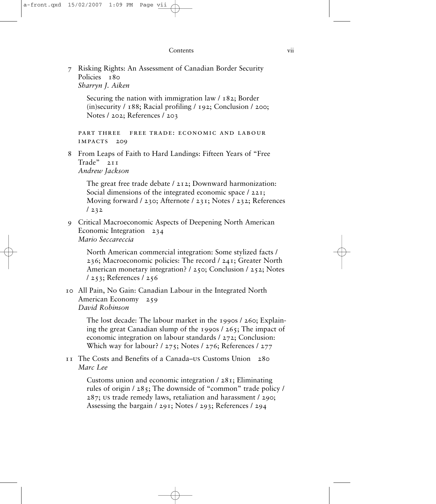7 Risking Rights: An Assessment of Canadian Border Security Policies 180 *Sharryn J. Aiken*

Securing the nation with immigration law / 182; Border (in)security / 188; Racial profiling / 192; Conclusion / 200; Notes / 202; References / 203

part three free trade: economic and labour impacts 209

8 From Leaps of Faith to Hard Landings: Fifteen Years of "Free Trade" 211 *Andrew Jackson*

The great free trade debate / 212; Downward harmonization: Social dimensions of the integrated economic space / 221; Moving forward / 230; Afternote / 231; Notes / 232; References / 232

9 Critical Macroeconomic Aspects of Deepening North American Economic Integration 234 *Mario Seccareccia*

North American commercial integration: Some stylized facts / 236; Macroeconomic policies: The record / 241; Greater North American monetary integration? / 250; Conclusion / 252; Notes / 253; References / 256

10 All Pain, No Gain: Canadian Labour in the Integrated North American Economy 259 *David Robinson*

> The lost decade: The labour market in the 1990s / 260; Explaining the great Canadian slump of the 1990s / 265; The impact of economic integration on labour standards / 272; Conclusion: Which way for labour? / 275; Notes / 276; References / 277

11 The Costs and Benefits of a Canada–us Customs Union 280 *Marc Lee*

> Customs union and economic integration / 281; Eliminating rules of origin / 285; The downside of "common" trade policy / 287; us trade remedy laws, retaliation and harassment / 290; Assessing the bargain / 291; Notes / 293; References / 294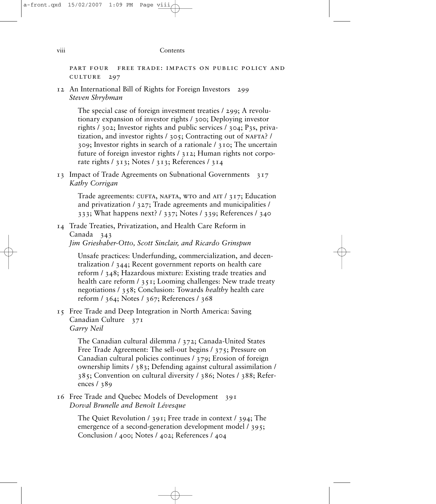part four free trade: impacts on public policy and culture 297

12 An International Bill of Rights for Foreign Investors 299 *Steven Shrybman*

> The special case of foreign investment treaties / 299; A revolutionary expansion of investor rights / 300; Deploying investor rights / 302; Investor rights and public services / 304; P3s, privatization, and investor rights / 305; Contracting out of NAFTA? / 309; Investor rights in search of a rationale / 310; The uncertain future of foreign investor rights / 312; Human rights not corporate rights / 313; Notes / 313; References / 314

13 Impact of Trade Agreements on Subnational Governments 317 *Kathy Corrigan*

Trade agreements: CUFTA, NAFTA, WTO and AIT  $/$  317; Education and privatization / 327; Trade agreements and municipalities / 333; What happens next? / 337; Notes / 339; References / 340

14 Trade Treaties, Privatization, and Health Care Reform in Canada 343 *Jim Grieshaber-Otto, Scott Sinclair, and Ricardo Grinspun*

> Unsafe practices: Underfunding, commercialization, and decentralization / 344; Recent government reports on health care reform / 348; Hazardous mixture: Existing trade treaties and health care reform / 351; Looming challenges: New trade treaty negotiations / 358; Conclusion: Towards *healthy* health care reform / 364; Notes / 367; References / 368

15 Free Trade and Deep Integration in North America: Saving Canadian Culture 371 *Garry Neil*

> The Canadian cultural dilemma / 372; Canada-United States Free Trade Agreement: The sell-out begins / 375; Pressure on Canadian cultural policies continues / 379; Erosion of foreign ownership limits / 383; Defending against cultural assimilation / 385; Convention on cultural diversity / 386; Notes / 388; References / 389

16 Free Trade and Quebec Models of Development 391 *Dorval Brunelle and Benoît Lévesque*

> The Quiet Revolution / 391; Free trade in context / 394; The emergence of a second-generation development model / 395; Conclusion / 400; Notes / 402; References / 404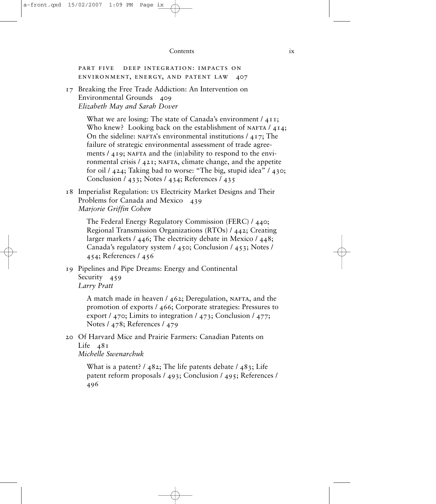## Contents ix

part five deep integration: impacts on environment, energy, and patent law 407

17 Breaking the Free Trade Addiction: An Intervention on Environmental Grounds 409 *Elizabeth May and Sarah Dover*

> What we are losing: The state of Canada's environment /  $411$ ; Who knew? Looking back on the establishment of NAFTA  $/$  414; On the sideline: NAFTA's environmental institutions  $/417$ ; The failure of strategic environmental assessment of trade agreements  $/419$ ; NAFTA and the (in)ability to respond to the environmental crisis  $/$  421; NAFTA, climate change, and the appetite for oil / 424; Taking bad to worse: "The big, stupid idea" / 430; Conclusion / 433; Notes / 434; References / 435

18 Imperialist Regulation: us Electricity Market Designs and Their Problems for Canada and Mexico 439 *Marjorie Griffin Cohen*

The Federal Energy Regulatory Commission (FERC) / 440; Regional Transmission Organizations (RTOs) / 442; Creating larger markets / 446; The electricity debate in Mexico / 448; Canada's regulatory system / 450; Conclusion / 453; Notes / 454; References / 456

19 Pipelines and Pipe Dreams: Energy and Continental Security 459 *Larry Pratt*

> A match made in heaven  $/$  462; Deregulation, NAFTA, and the promotion of exports / 466; Corporate strategies: Pressures to export / 470; Limits to integration / 473; Conclusion / 477; Notes / 478; References / 479

20 Of Harvard Mice and Prairie Farmers: Canadian Patents on Life  $481$ 

*Michelle Swenarchuk*

What is a patent?  $/$  482; The life patents debate  $/$  483; Life patent reform proposals / 493; Conclusion / 495; References / 496